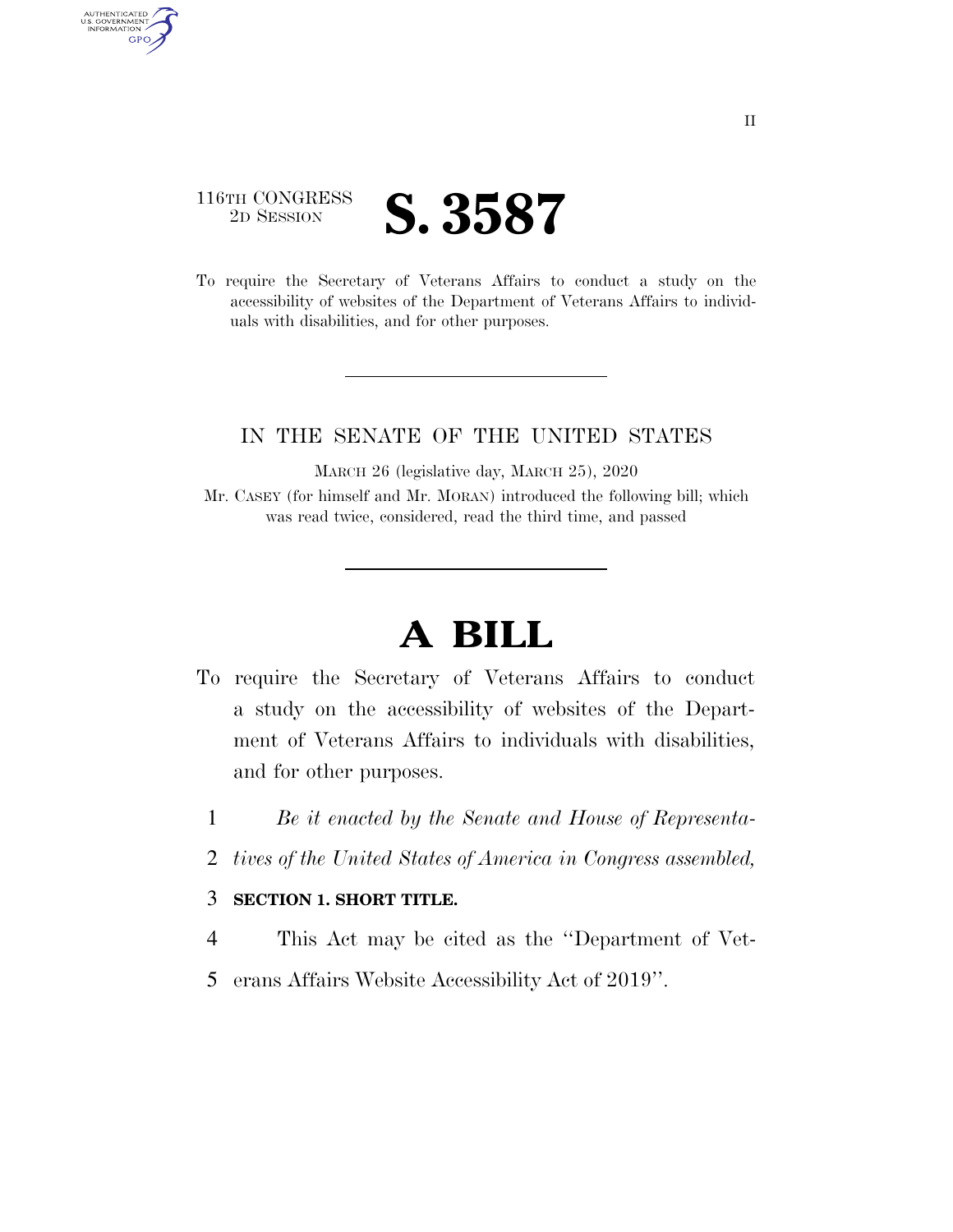### 116TH CONGRESS 2D SESSION **S. 3587**

AUTHENTICATED<br>U.S. GOVERNMENT<br>INFORMATION

**GPO** 

To require the Secretary of Veterans Affairs to conduct a study on the accessibility of websites of the Department of Veterans Affairs to individuals with disabilities, and for other purposes.

### IN THE SENATE OF THE UNITED STATES

MARCH 26 (legislative day, MARCH 25), 2020 Mr. CASEY (for himself and Mr. MORAN) introduced the following bill; which was read twice, considered, read the third time, and passed

# **A BILL**

- To require the Secretary of Veterans Affairs to conduct a study on the accessibility of websites of the Department of Veterans Affairs to individuals with disabilities, and for other purposes.
	- 1 *Be it enacted by the Senate and House of Representa-*
	- 2 *tives of the United States of America in Congress assembled,*

#### 3 **SECTION 1. SHORT TITLE.**

- 4 This Act may be cited as the ''Department of Vet-
- 5 erans Affairs Website Accessibility Act of 2019''.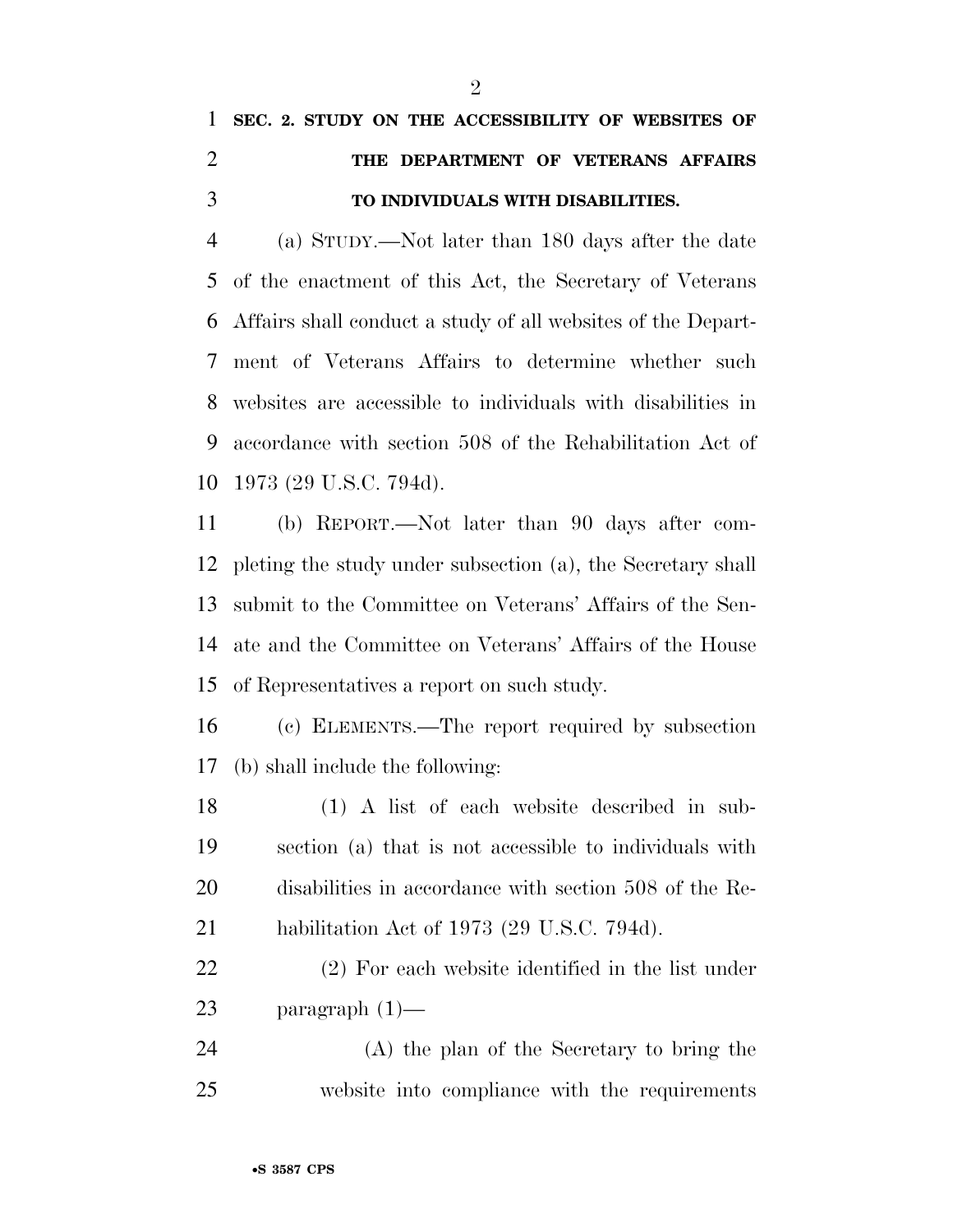## **SEC. 2. STUDY ON THE ACCESSIBILITY OF WEBSITES OF THE DEPARTMENT OF VETERANS AFFAIRS TO INDIVIDUALS WITH DISABILITIES.**

 (a) STUDY.—Not later than 180 days after the date of the enactment of this Act, the Secretary of Veterans Affairs shall conduct a study of all websites of the Depart- ment of Veterans Affairs to determine whether such websites are accessible to individuals with disabilities in accordance with section 508 of the Rehabilitation Act of 1973 (29 U.S.C. 794d).

 (b) REPORT.—Not later than 90 days after com- pleting the study under subsection (a), the Secretary shall submit to the Committee on Veterans' Affairs of the Sen- ate and the Committee on Veterans' Affairs of the House of Representatives a report on such study.

 (c) ELEMENTS.—The report required by subsection (b) shall include the following:

 (1) A list of each website described in sub- section (a) that is not accessible to individuals with disabilities in accordance with section 508 of the Re-habilitation Act of 1973 (29 U.S.C. 794d).

 (2) For each website identified in the list under paragraph (1)—

 (A) the plan of the Secretary to bring the website into compliance with the requirements